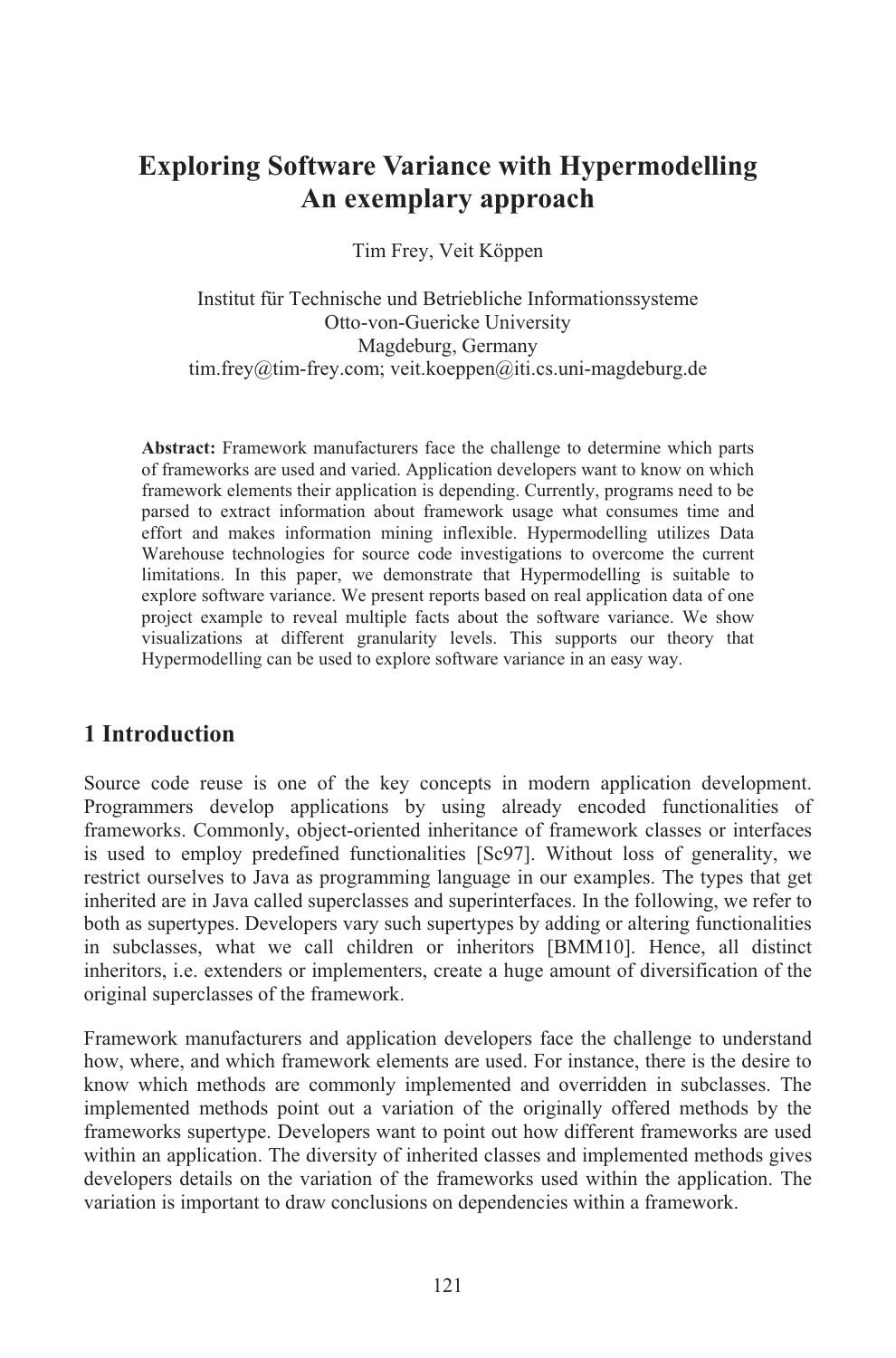## **Exploring Software Variance with Hypermodelling An exemplary approach**

Tim Frey, Veit Köppen

Institut für Technische und Betriebliche Informationssysteme Otto-von-Guericke University Magdeburg, Germany tim.frey@tim-frey.com; veit.koeppen@iti.cs.uni-magdeburg.de

**Abstract:** Framework manufacturers face the challenge to determine which parts of frameworks are used and varied. Application developers want to know on which framework elements their application is depending. Currently, programs need to be parsed to extract information about framework usage what consumes time and effort and makes information mining inflexible. Hypermodelling utilizes Data Warehouse technologies for source code investigations to overcome the current limitations. In this paper, we demonstrate that Hypermodelling is suitable to explore software variance. We present reports based on real application data of one project example to reveal multiple facts about the software variance. We show visualizations at different granularity levels. This supports our theory that Hypermodelling can be used to explore software variance in an easy way.

## **1 Introduction**

Source code reuse is one of the key concepts in modern application development. Programmers develop applications by using already encoded functionalities of frameworks. Commonly, object-oriented inheritance of framework classes or interfaces is used to employ predefined functionalities [Sc97]. Without loss of generality, we restrict ourselves to Java as programming language in our examples. The types that get inherited are in Java called superclasses and superinterfaces. In the following, we refer to both as supertypes. Developers vary such supertypes by adding or altering functionalities in subclasses, what we call children or inheritors [BMM10]. Hence, all distinct inheritors, i.e. extenders or implementers, create a huge amount of diversification of the original superclasses of the framework.

Framework manufacturers and application developers face the challenge to understand how, where, and which framework elements are used. For instance, there is the desire to know which methods are commonly implemented and overridden in subclasses. The implemented methods point out a variation of the originally offered methods by the frameworks supertype. Developers want to point out how different frameworks are used within an application. The diversity of inherited classes and implemented methods gives developers details on the variation of the frameworks used within the application. The variation is important to draw conclusions on dependencies within a framework.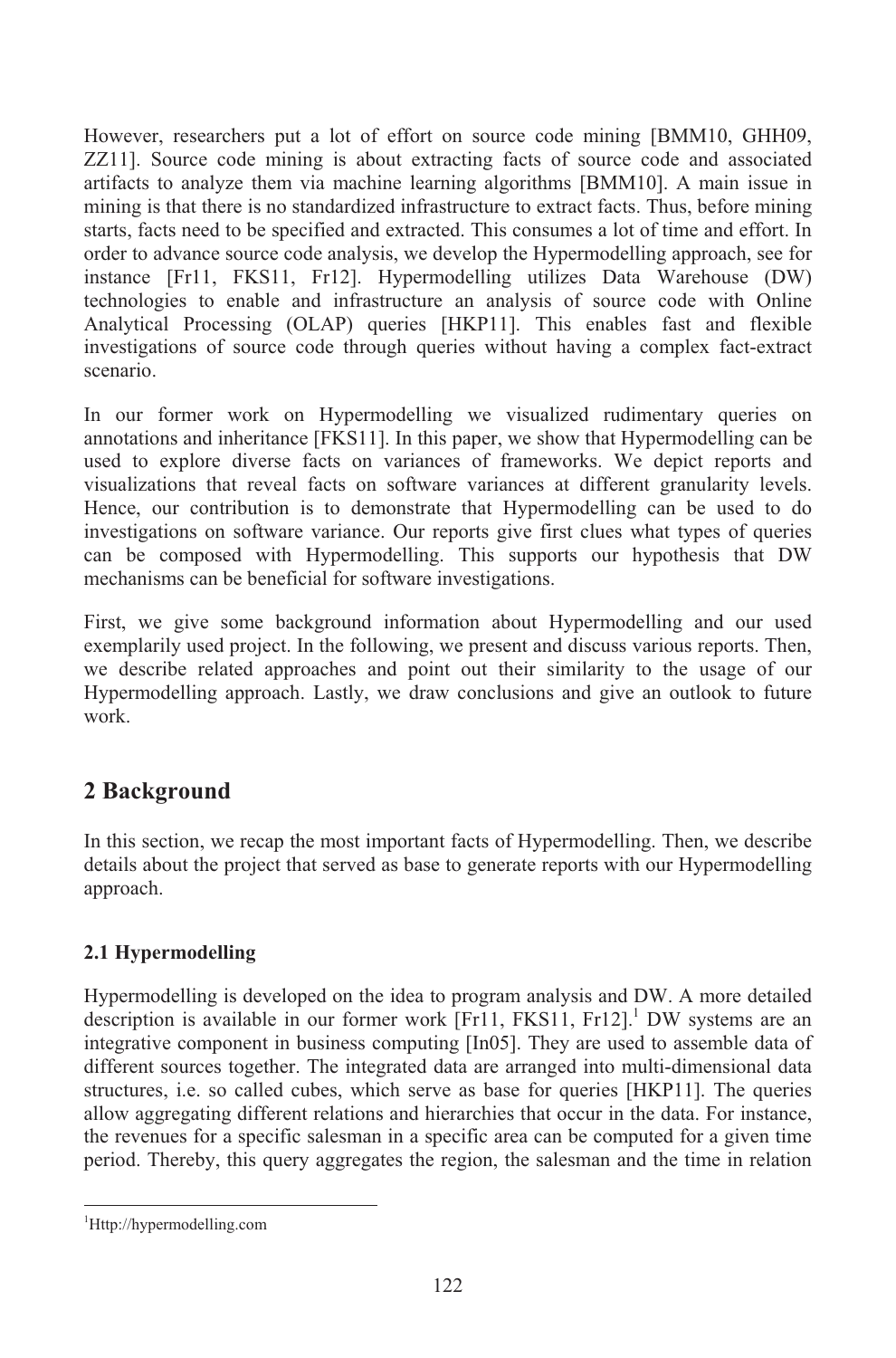However, researchers put a lot of effort on source code mining [BMM10, GHH09, ZZ11]. Source code mining is about extracting facts of source code and associated artifacts to analyze them via machine learning algorithms [BMM10]. A main issue in mining is that there is no standardized infrastructure to extract facts. Thus, before mining starts, facts need to be specified and extracted. This consumes a lot of time and effort. In order to advance source code analysis, we develop the Hypermodelling approach, see for instance [Fr11, FKS11, Fr12]. Hypermodelling utilizes Data Warehouse (DW) technologies to enable and infrastructure an analysis of source code with Online Analytical Processing (OLAP) queries [HKP11]. This enables fast and flexible investigations of source code through queries without having a complex fact-extract scenario.

In our former work on Hypermodelling we visualized rudimentary queries on annotations and inheritance [FKS11]. In this paper, we show that Hypermodelling can be used to explore diverse facts on variances of frameworks. We depict reports and visualizations that reveal facts on software variances at different granularity levels. Hence, our contribution is to demonstrate that Hypermodelling can be used to do investigations on software variance. Our reports give first clues what types of queries can be composed with Hypermodelling. This supports our hypothesis that DW mechanisms can be beneficial for software investigations.

First, we give some background information about Hypermodelling and our used exemplarily used project. In the following, we present and discuss various reports. Then, we describe related approaches and point out their similarity to the usage of our Hypermodelling approach. Lastly, we draw conclusions and give an outlook to future work.

## **2 Background**

In this section, we recap the most important facts of Hypermodelling. Then, we describe details about the project that served as base to generate reports with our Hypermodelling approach.

#### **2.1 Hypermodelling**

Hypermodelling is developed on the idea to program analysis and DW. A more detailed description is available in our former work [Fr11, FKS11, Fr12]. <sup>1</sup> DW systems are an integrative component in business computing [In05]. They are used to assemble data of different sources together. The integrated data are arranged into multi-dimensional data structures, i.e. so called cubes, which serve as base for queries [HKP11]. The queries allow aggregating different relations and hierarchies that occur in the data. For instance, the revenues for a specific salesman in a specific area can be computed for a given time period. Thereby, this query aggregates the region, the salesman and the time in relation

<sup>1</sup>Http://hypermodelling.com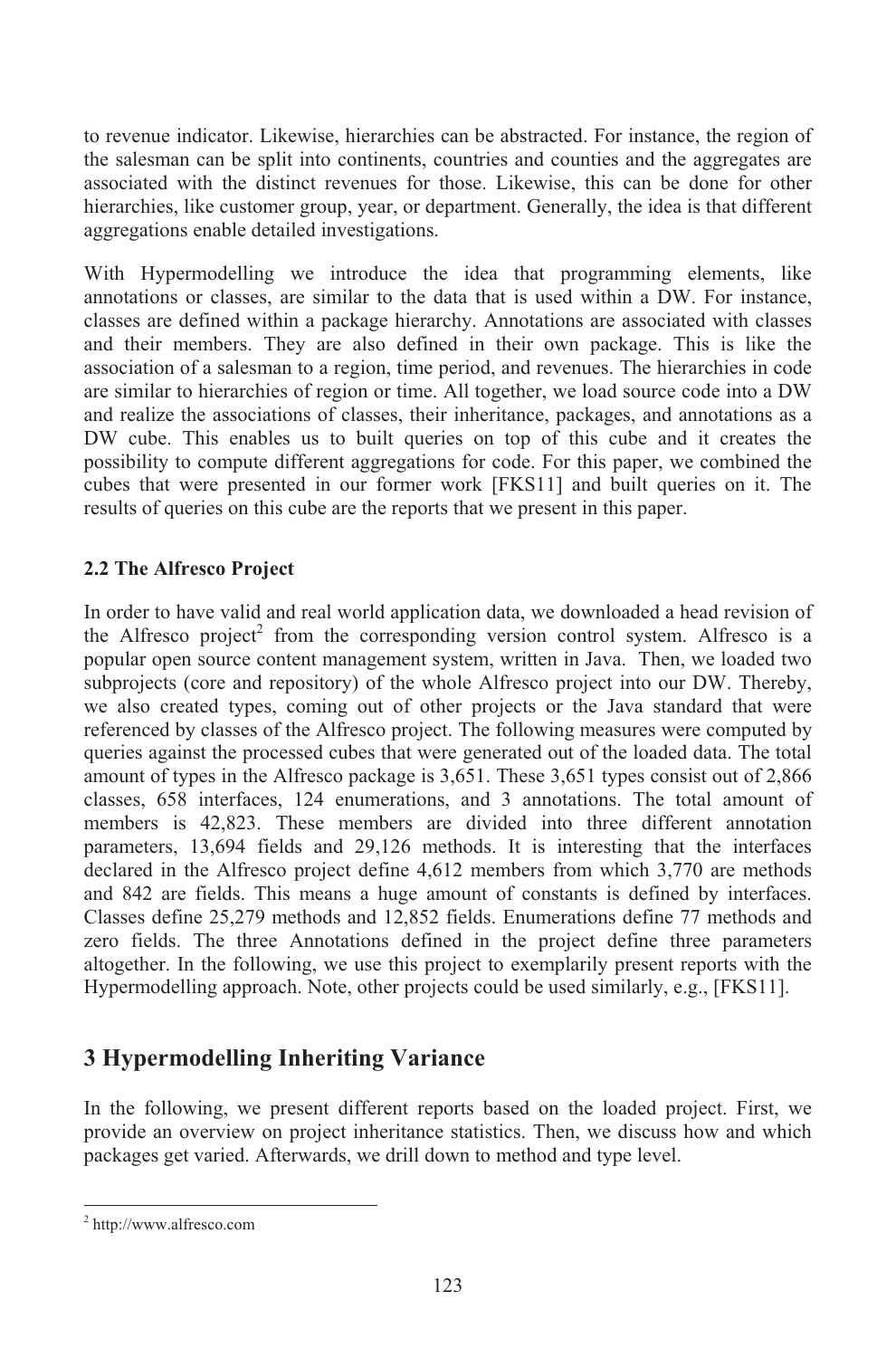to revenue indicator. Likewise, hierarchies can be abstracted. For instance, the region of the salesman can be split into continents, countries and counties and the aggregates are associated with the distinct revenues for those. Likewise, this can be done for other hierarchies, like customer group, year, or department. Generally, the idea is that different aggregations enable detailed investigations.

With Hypermodelling we introduce the idea that programming elements, like annotations or classes, are similar to the data that is used within a DW. For instance, classes are defined within a package hierarchy. Annotations are associated with classes and their members. They are also defined in their own package. This is like the association of a salesman to a region, time period, and revenues. The hierarchies in code are similar to hierarchies of region or time. All together, we load source code into a DW and realize the associations of classes, their inheritance, packages, and annotations as a DW cube. This enables us to built queries on top of this cube and it creates the possibility to compute different aggregations for code. For this paper, we combined the cubes that were presented in our former work [FKS11] and built queries on it. The results of queries on this cube are the reports that we present in this paper.

#### **2.2 The Alfresco Project**

In order to have valid and real world application data, we downloaded a head revision of the Alfresco project<sup>2</sup> from the corresponding version control system. Alfresco is a popular open source content management system, written in Java. Then, we loaded two subprojects (core and repository) of the whole Alfresco project into our DW. Thereby, we also created types, coming out of other projects or the Java standard that were referenced by classes of the Alfresco project. The following measures were computed by queries against the processed cubes that were generated out of the loaded data. The total amount of types in the Alfresco package is 3,651. These 3,651 types consist out of 2,866 classes, 658 interfaces, 124 enumerations, and 3 annotations. The total amount of members is 42,823. These members are divided into three different annotation parameters, 13,694 fields and 29,126 methods. It is interesting that the interfaces declared in the Alfresco project define 4,612 members from which 3,770 are methods and 842 are fields. This means a huge amount of constants is defined by interfaces. Classes define 25,279 methods and 12,852 fields. Enumerations define 77 methods and zero fields. The three Annotations defined in the project define three parameters altogether. In the following, we use this project to exemplarily present reports with the Hypermodelling approach. Note, other projects could be used similarly, e.g., [FKS11].

## **3 Hypermodelling Inheriting Variance**

In the following, we present different reports based on the loaded project. First, we provide an overview on project inheritance statistics. Then, we discuss how and which packages get varied. Afterwards, we drill down to method and type level.

<sup>2</sup> http://www.alfresco.com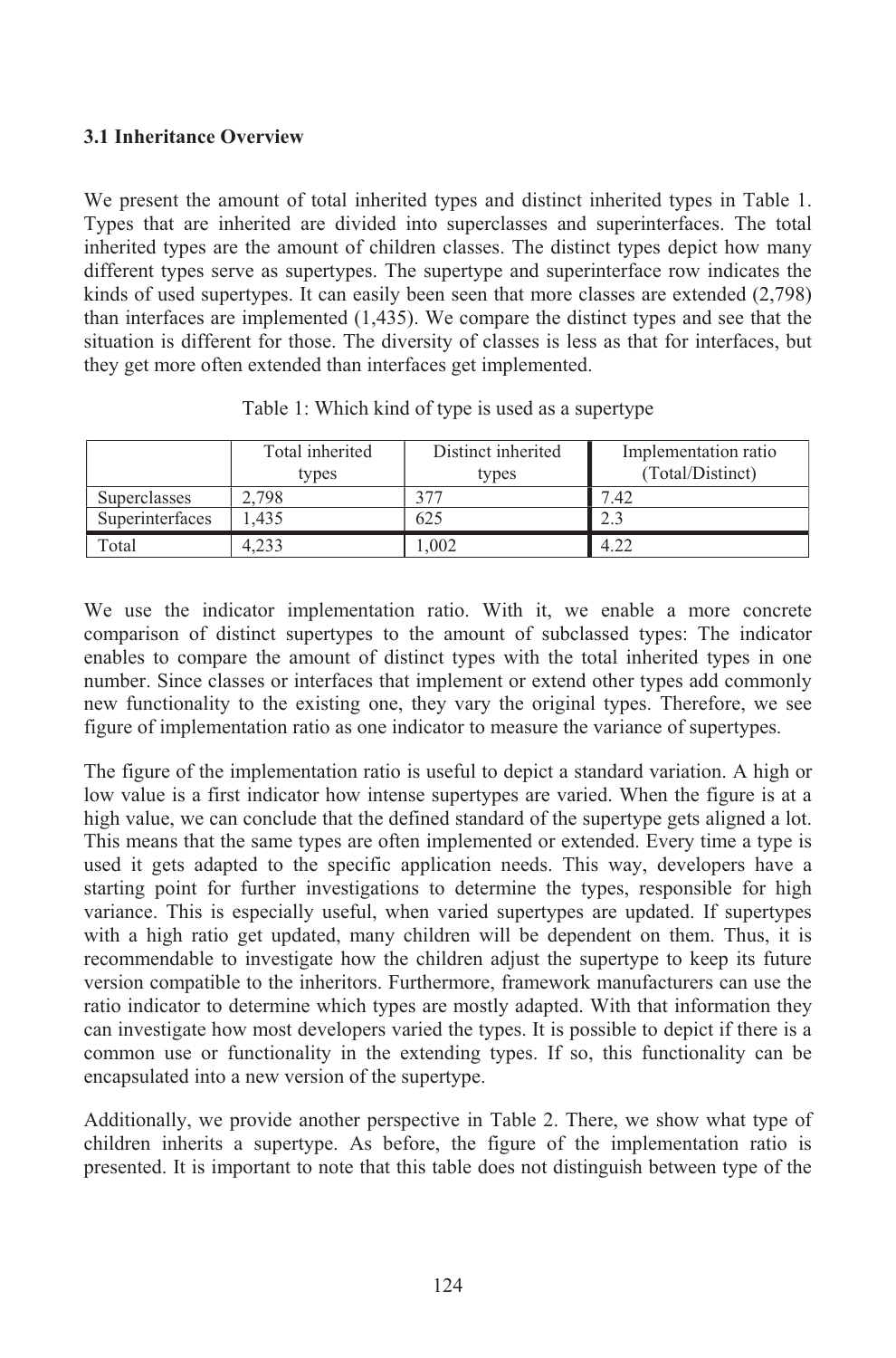#### **3.1 Inheritance Overview**

We present the amount of total inherited types and distinct inherited types in Table 1. Types that are inherited are divided into superclasses and superinterfaces. The total inherited types are the amount of children classes. The distinct types depict how many different types serve as supertypes. The supertype and superinterface row indicates the kinds of used supertypes. It can easily been seen that more classes are extended (2,798) than interfaces are implemented (1,435). We compare the distinct types and see that the situation is different for those. The diversity of classes is less as that for interfaces, but they get more often extended than interfaces get implemented.

|                     | Total inherited<br>types | Distinct inherited<br>types | Implementation ratio<br>(Total/Distinct) |
|---------------------|--------------------------|-----------------------------|------------------------------------------|
| <b>Superclasses</b> | 2.798                    |                             | .42                                      |
| Superinterfaces     | .435                     | 625                         | 2.3                                      |
| Гоtal               |                          | .002                        |                                          |

Table 1: Which kind of type is used as a supertype

We use the indicator implementation ratio. With it, we enable a more concrete comparison of distinct supertypes to the amount of subclassed types: The indicator enables to compare the amount of distinct types with the total inherited types in one number. Since classes or interfaces that implement or extend other types add commonly new functionality to the existing one, they vary the original types. Therefore, we see figure of implementation ratio as one indicator to measure the variance of supertypes.

The figure of the implementation ratio is useful to depict a standard variation. A high or low value is a first indicator how intense supertypes are varied. When the figure is at a high value, we can conclude that the defined standard of the supertype gets aligned a lot. This means that the same types are often implemented or extended. Every time a type is used it gets adapted to the specific application needs. This way, developers have a starting point for further investigations to determine the types, responsible for high variance. This is especially useful, when varied supertypes are updated. If supertypes with a high ratio get updated, many children will be dependent on them. Thus, it is recommendable to investigate how the children adjust the supertype to keep its future version compatible to the inheritors. Furthermore, framework manufacturers can use the ratio indicator to determine which types are mostly adapted. With that information they can investigate how most developers varied the types. It is possible to depict if there is a common use or functionality in the extending types. If so, this functionality can be encapsulated into a new version of the supertype.

Additionally, we provide another perspective in Table 2. There, we show what type of children inherits a supertype. As before, the figure of the implementation ratio is presented. It is important to note that this table does not distinguish between type of the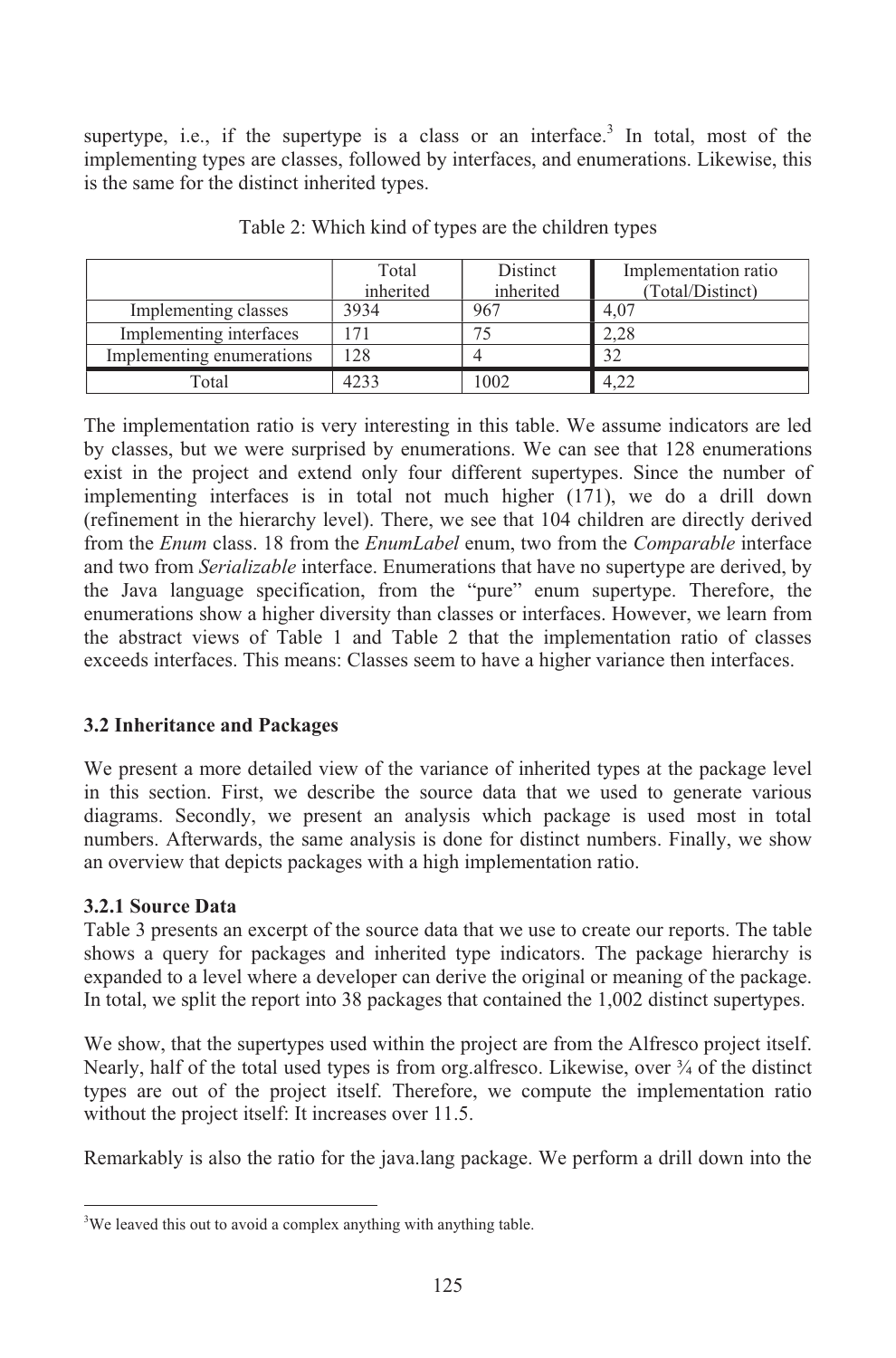supertype, i.e., if the supertype is a class or an interface.<sup>3</sup> In total, most of the implementing types are classes, followed by interfaces, and enumerations. Likewise, this is the same for the distinct inherited types.

|                           | Total<br>inherited | Distinct<br>inherited | Implementation ratio<br>(Total/Distinct) |
|---------------------------|--------------------|-----------------------|------------------------------------------|
| Implementing classes      | 3934               | 967                   | 4.07                                     |
| Implementing interfaces   | 171                |                       | 2.28                                     |
| Implementing enumerations | 128                |                       | 32                                       |
| Total                     | 4233               | 1002                  | 4.22                                     |

Table 2: Which kind of types are the children types

The implementation ratio is very interesting in this table. We assume indicators are led by classes, but we were surprised by enumerations. We can see that 128 enumerations exist in the project and extend only four different supertypes. Since the number of implementing interfaces is in total not much higher (171), we do a drill down (refinement in the hierarchy level). There, we see that 104 children are directly derived from the *Enum* class. 18 from the *EnumLabel* enum, two from the *Comparable* interface and two from *Serializable* interface. Enumerations that have no supertype are derived, by the Java language specification, from the "pure" enum supertype. Therefore, the enumerations show a higher diversity than classes or interfaces. However, we learn from the abstract views of Table 1 and Table 2 that the implementation ratio of classes exceeds interfaces. This means: Classes seem to have a higher variance then interfaces.

#### **3.2 Inheritance and Packages**

We present a more detailed view of the variance of inherited types at the package level in this section. First, we describe the source data that we used to generate various diagrams. Secondly, we present an analysis which package is used most in total numbers. Afterwards, the same analysis is done for distinct numbers. Finally, we show an overview that depicts packages with a high implementation ratio.

#### **3.2.1 Source Data**

Table 3 presents an excerpt of the source data that we use to create our reports. The table shows a query for packages and inherited type indicators. The package hierarchy is expanded to a level where a developer can derive the original or meaning of the package. In total, we split the report into 38 packages that contained the 1,002 distinct supertypes.

We show, that the supertypes used within the project are from the Alfresco project itself. Nearly, half of the total used types is from org. alfresco. Likewise, over  $\frac{3}{4}$  of the distinct types are out of the project itself. Therefore, we compute the implementation ratio without the project itself: It increases over 11.5.

Remarkably is also the ratio for the java.lang package. We perform a drill down into the

<sup>&</sup>lt;sup>3</sup>We leaved this out to avoid a complex anything with anything table.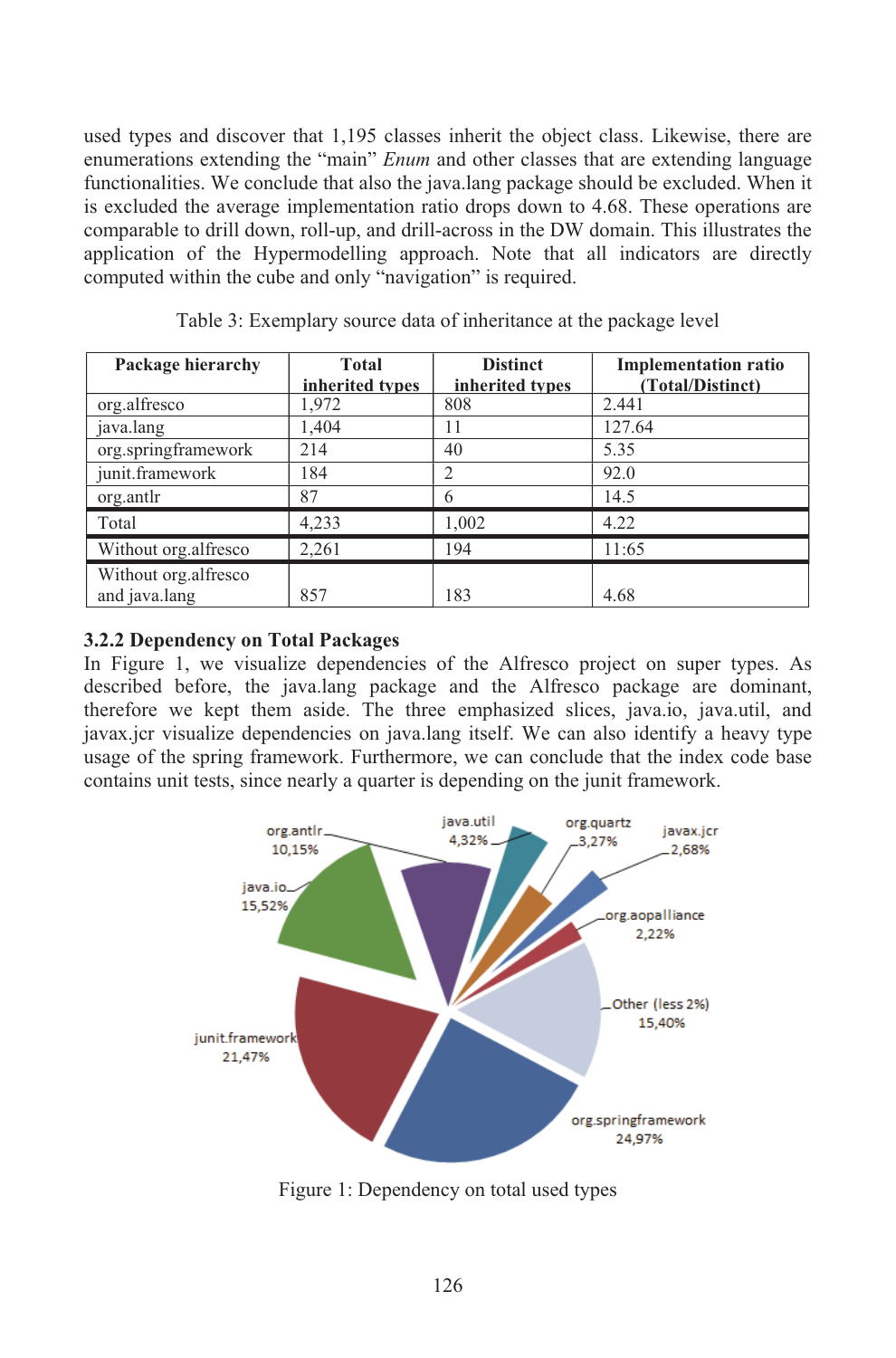used types and discover that 1,195 classes inherit the object class. Likewise, there are enumerations extending the "main" *Enum* and other classes that are extending language functionalities. We conclude that also the java.lang package should be excluded. When it is excluded the average implementation ratio drops down to 4.68. These operations are comparable to drill down, roll-up, and drill-across in the DW domain. This illustrates the application of the Hypermodelling approach. Note that all indicators are directly computed within the cube and only "navigation" is required.

| Package hierarchy    | Total           | <b>Distinct</b> | <b>Implementation ratio</b> |
|----------------------|-----------------|-----------------|-----------------------------|
|                      | inherited types | inherited types | (Total/Distinct)            |
| org.alfresco         | 1,972           | 808             | 2.441                       |
| java.lang            | 1,404           | 11              | 127.64                      |
| org.springframework  | 214             | 40              | 5.35                        |
| junit.framework      | 184             | $\overline{2}$  | 92.0                        |
| org.antlr            | 87              | 6               | 14.5                        |
| Total                | 4,233           | 1,002           | 4.22                        |
| Without org.alfresco | 2,261           | 194             | 11:65                       |
| Without org.alfresco |                 |                 |                             |
| and java.lang        | 857             | 183             | 4.68                        |

Table 3: Exemplary source data of inheritance at the package level

#### **3.2.2 Dependency on Total Packages**

In Figure 1, we visualize dependencies of the Alfresco project on super types. As described before, the java.lang package and the Alfresco package are dominant, therefore we kept them aside. The three emphasized slices, java.io, java.util, and javax.jcr visualize dependencies on java.lang itself. We can also identify a heavy type usage of the spring framework. Furthermore, we can conclude that the index code base contains unit tests, since nearly a quarter is depending on the junit framework.



Figure 1: Dependency on total used types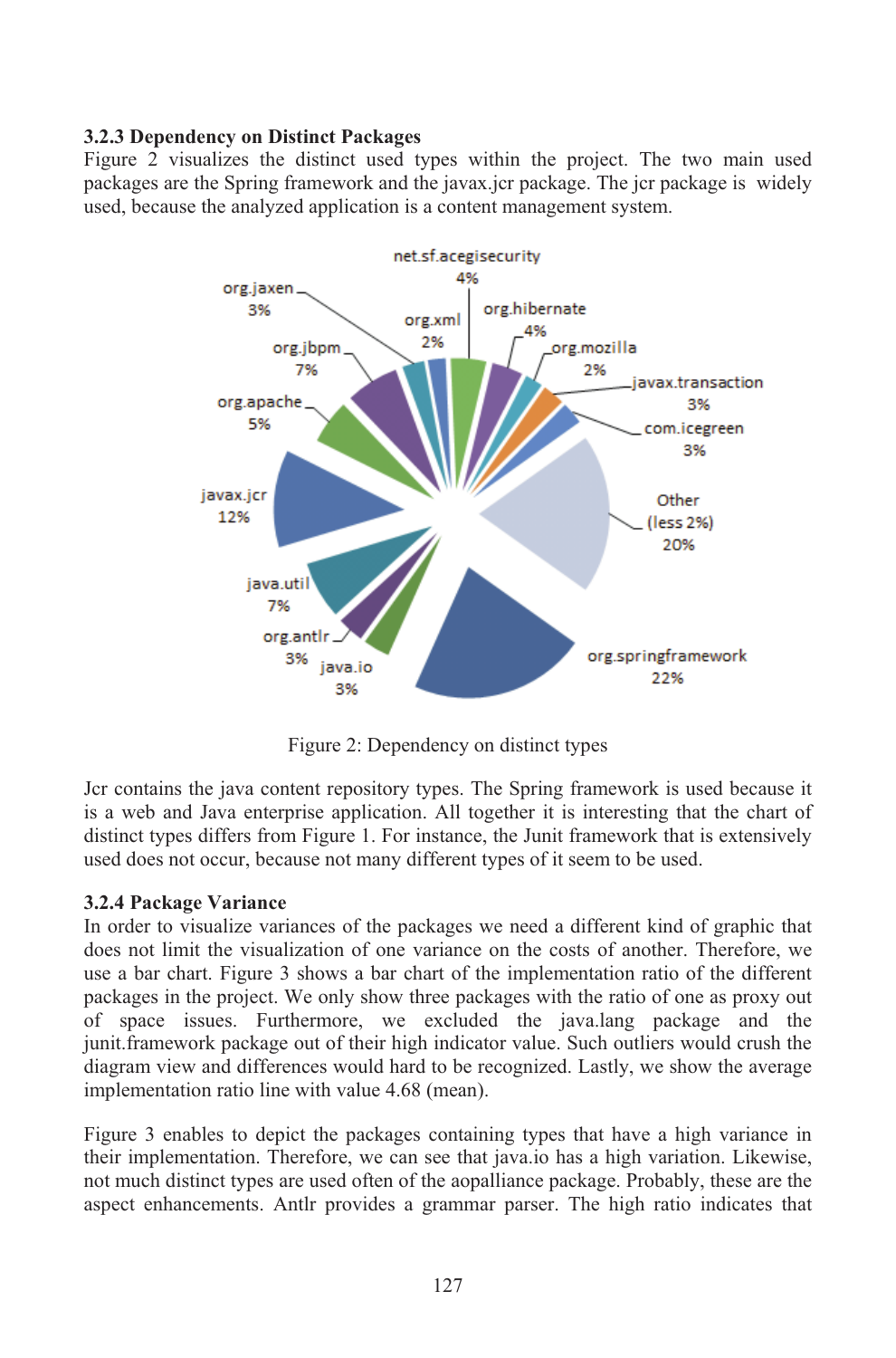#### **3.2.3 Dependency on Distinct Packages**

Figure 2 visualizes the distinct used types within the project. The two main used packages are the Spring framework and the javax.jcr package. The jcr package is widely used, because the analyzed application is a content management system.



Figure 2: Dependency on distinct types

Jcr contains the java content repository types. The Spring framework is used because it is a web and Java enterprise application. All together it is interesting that the chart of distinct types differs from Figure 1. For instance, the Junit framework that is extensively used does not occur, because not many different types of it seem to be used.

#### **3.2.4 Package Variance**

In order to visualize variances of the packages we need a different kind of graphic that does not limit the visualization of one variance on the costs of another. Therefore, we use a bar chart. Figure 3 shows a bar chart of the implementation ratio of the different packages in the project. We only show three packages with the ratio of one as proxy out of space issues. Furthermore, we excluded the java.lang package and the junit.framework package out of their high indicator value. Such outliers would crush the diagram view and differences would hard to be recognized. Lastly, we show the average implementation ratio line with value 4.68 (mean).

Figure 3 enables to depict the packages containing types that have a high variance in their implementation. Therefore, we can see that java.io has a high variation. Likewise, not much distinct types are used often of the aopalliance package. Probably, these are the aspect enhancements. Antlr provides a grammar parser. The high ratio indicates that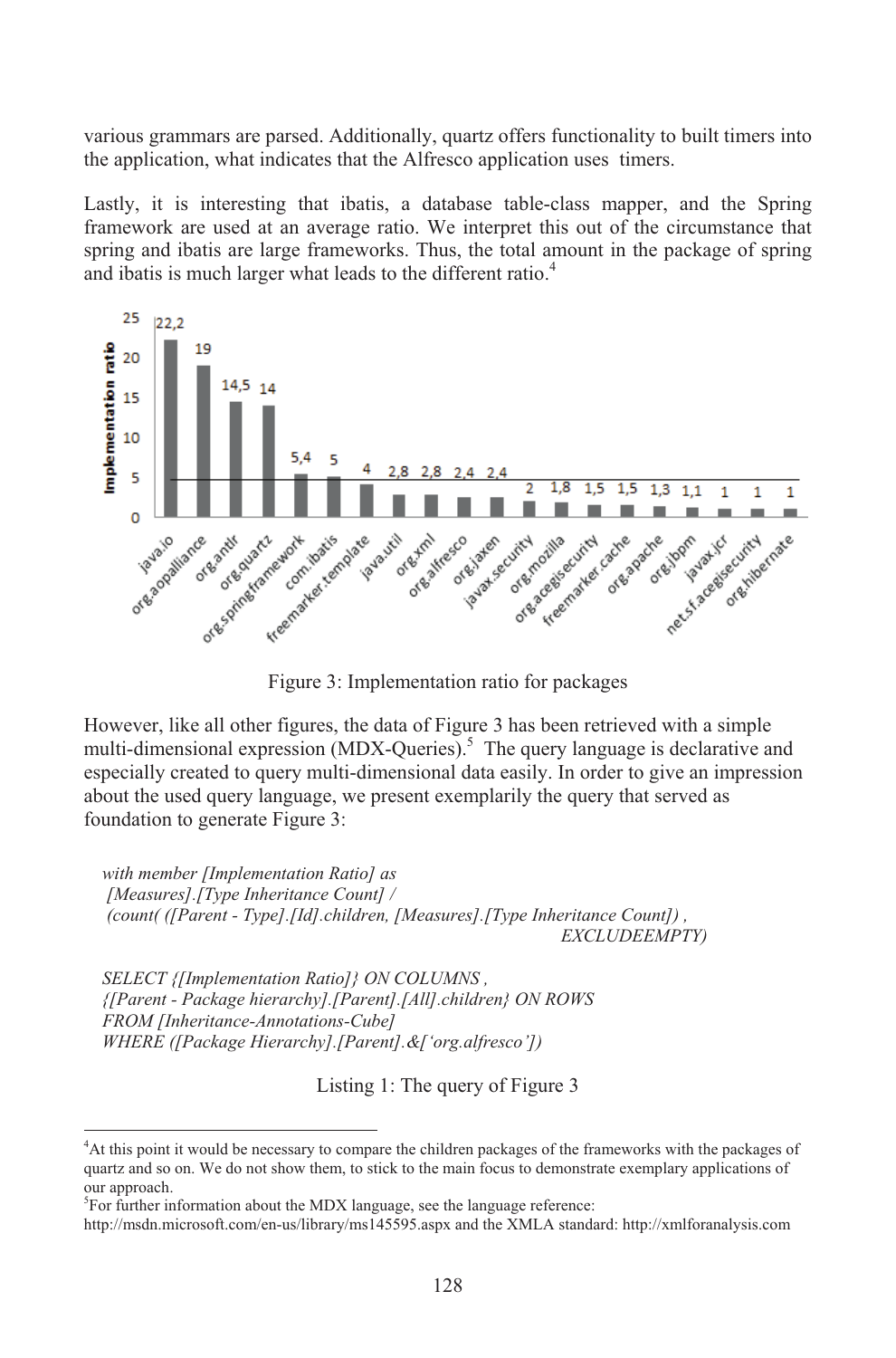various grammars are parsed. Additionally, quartz offers functionality to built timers into the application, what indicates that the Alfresco application uses timers.

Lastly, it is interesting that ibatis, a database table-class mapper, and the Spring framework are used at an average ratio. We interpret this out of the circumstance that spring and ibatis are large frameworks. Thus, the total amount in the package of spring and ibatis is much larger what leads to the different ratio.<sup>4</sup>



Figure 3: Implementation ratio for packages

However, like all other figures, the data of Figure 3 has been retrieved with a simple multi-dimensional expression (MDX-Queries).<sup>5</sup> The query language is declarative and especially created to query multi-dimensional data easily. In order to give an impression about the used query language, we present exemplarily the query that served as foundation to generate Figure 3:

*with member [Implementation Ratio] as [Measures].[Type Inheritance Count] / (count( ([Parent - Type].[Id].children, [Measures].[Type Inheritance Count]) , EXCLUDEEMPTY)*

*SELECT {[Implementation Ratio]} ON COLUMNS , {[Parent - Package hierarchy].[Parent].[All].children} ON ROWS FROM [Inheritance-Annotations-Cube] WHERE ([Package Hierarchy].[Parent].&['org.alfresco'])*

Listing 1: The query of Figure 3

<sup>4</sup>At this point it would be necessary to compare the children packages of the frameworks with the packages of quartz and so on. We do not show them, to stick to the main focus to demonstrate exemplary applications of our approach.

 ${}^{5}$ For further information about the MDX language, see the language reference:

http://msdn.microsoft.com/en-us/library/ms145595.aspx and the XMLA standard: http://xmlforanalysis.com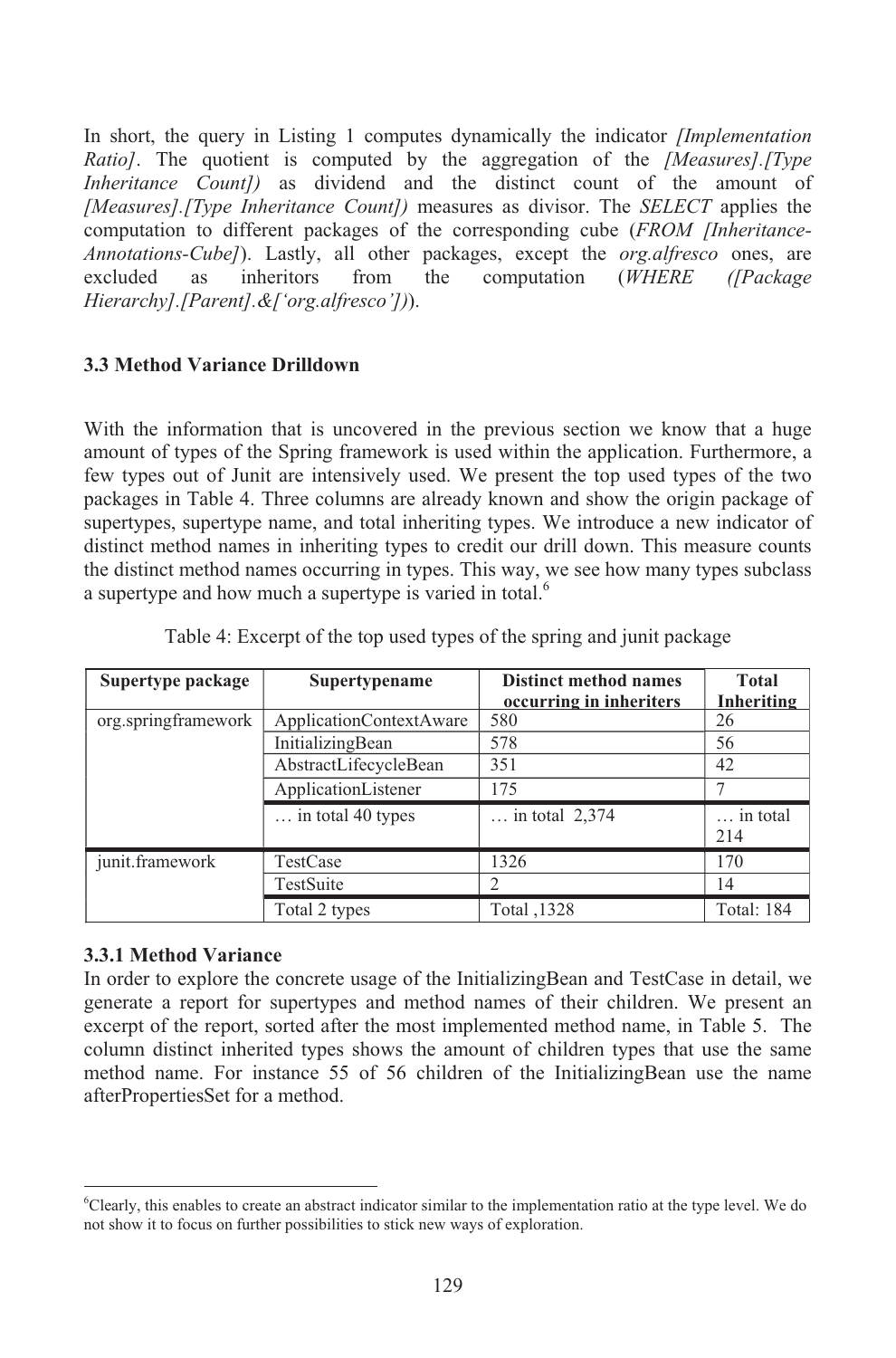In short, the query in Listing 1 computes dynamically the indicator *[Implementation Ratio]*. The quotient is computed by the aggregation of the *[Measures].[Type Inheritance Count])* as dividend and the distinct count of the amount of *[Measures].[Type Inheritance Count])* measures as divisor. The *SELECT* applies the computation to different packages of the corresponding cube (*FROM [Inheritance-Annotations-Cube]*). Lastly, all other packages, except the *org.alfresco* ones, are excluded as inheritors from the computation (*WHERE ([Package Hierarchy].[Parent].&['org.alfresco'])*).

#### **3.3 Method Variance Drilldown**

With the information that is uncovered in the previous section we know that a huge amount of types of the Spring framework is used within the application. Furthermore, a few types out of Junit are intensively used. We present the top used types of the two packages in Table 4. Three columns are already known and show the origin package of supertypes, supertype name, and total inheriting types. We introduce a new indicator of distinct method names in inheriting types to credit our drill down. This measure counts the distinct method names occurring in types. This way, we see how many types subclass a supertype and how much a supertype is varied in total.<sup>6</sup>

| Supertype package   | Supertypename              | <b>Distinct method names</b> | <b>Total</b>      |
|---------------------|----------------------------|------------------------------|-------------------|
|                     |                            | occurring in inheriters      | Inheriting        |
| org.springframework | ApplicationContextAware    | 580                          | 26                |
|                     | InitializingBean           | 578                          | 56                |
|                     | AbstractLifecycleBean      | 351                          | 42                |
|                     | ApplicationListener        | 175                          |                   |
|                     | $\ldots$ in total 40 types | in total $2,374$             | in total<br>214   |
| junit.framework     | TestCase                   | 1326                         | 170               |
|                     | TestSuite                  | 2                            | 14                |
|                     | Total 2 types              | Total ,1328                  | <b>Total: 184</b> |

| Table 4: Excerpt of the top used types of the spring and junit package |  |  |  |  |
|------------------------------------------------------------------------|--|--|--|--|
|                                                                        |  |  |  |  |

#### **3.3.1 Method Variance**

In order to explore the concrete usage of the InitializingBean and TestCase in detail, we generate a report for supertypes and method names of their children. We present an excerpt of the report, sorted after the most implemented method name, in Table 5. The column distinct inherited types shows the amount of children types that use the same method name. For instance 55 of 56 children of the InitializingBean use the name afterPropertiesSet for a method.

<sup>6</sup>Clearly, this enables to create an abstract indicator similar to the implementation ratio at the type level. We do not show it to focus on further possibilities to stick new ways of exploration.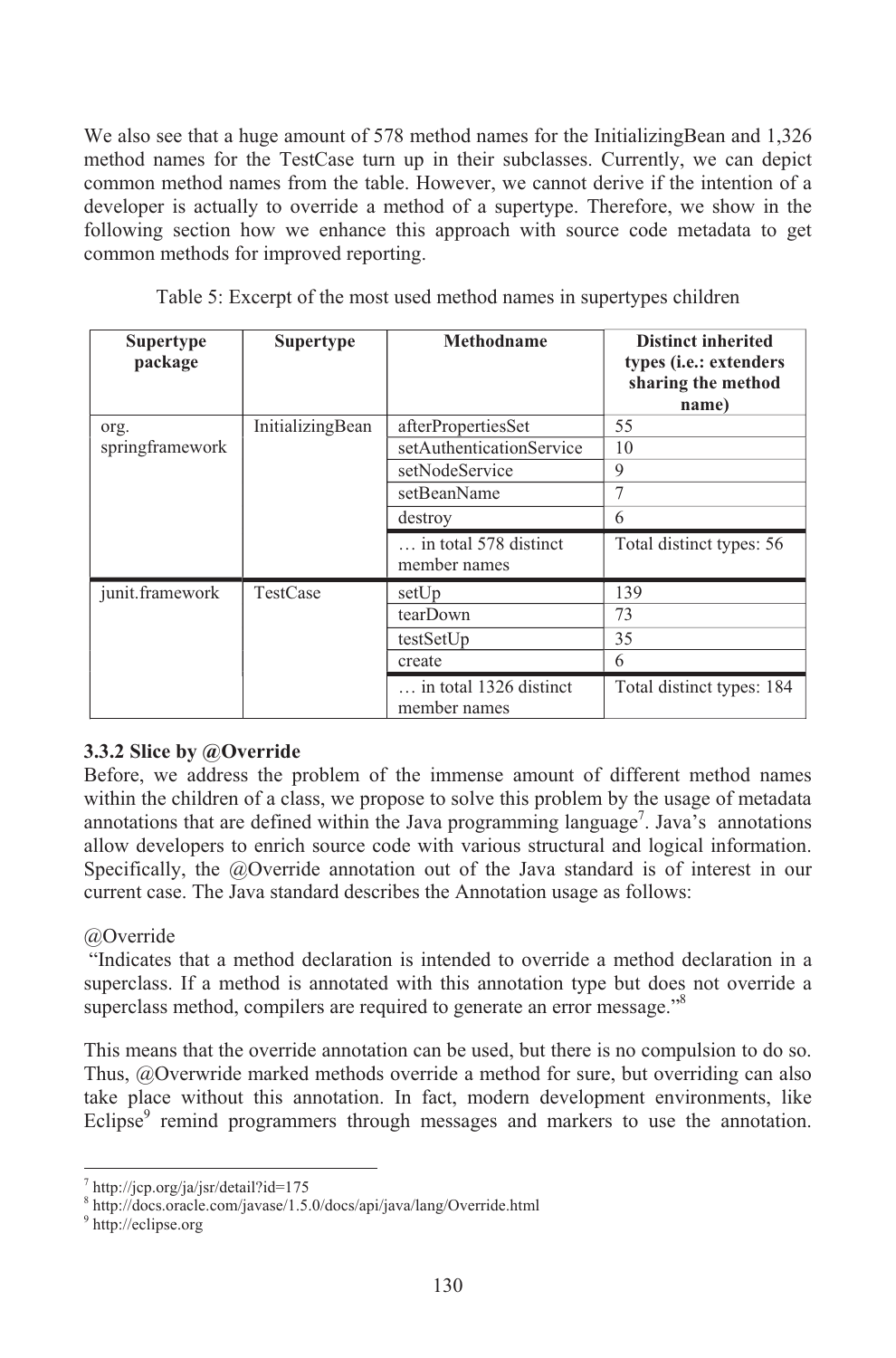We also see that a huge amount of 578 method names for the InitializingBean and 1,326 method names for the TestCase turn up in their subclasses. Currently, we can depict common method names from the table. However, we cannot derive if the intention of a developer is actually to override a method of a supertype. Therefore, we show in the following section how we enhance this approach with source code metadata to get common methods for improved reporting.

| <b>Supertype</b><br>package | <b>Supertype</b> | Methodname                             | <b>Distinct inherited</b><br>types ( <i>i.e.</i> : extenders<br>sharing the method<br>name) |
|-----------------------------|------------------|----------------------------------------|---------------------------------------------------------------------------------------------|
| org.                        | InitializingBean | afterPropertiesSet                     | 55                                                                                          |
| springframework             |                  | setAuthenticationService               | 10                                                                                          |
|                             |                  | setNodeService                         | 9                                                                                           |
|                             |                  | setBeanName                            | 7                                                                                           |
|                             |                  | destroy                                | 6                                                                                           |
|                             |                  | in total 578 distinct<br>member names  | Total distinct types: 56                                                                    |
| junit.framework             | TestCase         | setUp                                  | 139                                                                                         |
|                             |                  | tearDown                               | 73                                                                                          |
|                             |                  | testSetUp                              | 35                                                                                          |
|                             |                  | create                                 | 6                                                                                           |
|                             |                  | in total 1326 distinct<br>member names | Total distinct types: 184                                                                   |

Table 5: Excerpt of the most used method names in supertypes children

#### **3.3.2 Slice by @Override**

Before, we address the problem of the immense amount of different method names within the children of a class, we propose to solve this problem by the usage of metadata annotations that are defined within the Java programming language<sup>7</sup>. Java's annotations allow developers to enrich source code with various structural and logical information. Specifically, the @Override annotation out of the Java standard is of interest in our current case. The Java standard describes the Annotation usage as follows:

#### @Override

"Indicates that a method declaration is intended to override a method declaration in a superclass. If a method is annotated with this annotation type but does not override a superclass method, compilers are required to generate an error message."<sup>8</sup>

This means that the override annotation can be used, but there is no compulsion to do so. Thus, @Overwride marked methods override a method for sure, but overriding can also take place without this annotation. In fact, modern development environments, like Eclipse $\degree$  remind programmers through messages and markers to use the annotation.

 $\frac{7 \text{ http://icp.org/ja/isr/detai?id=175}}{$ 

<sup>8</sup> http://docs.oracle.com/javase/1.5.0/docs/api/java/lang/Override.html

<sup>&</sup>lt;sup>9</sup> http://eclipse.org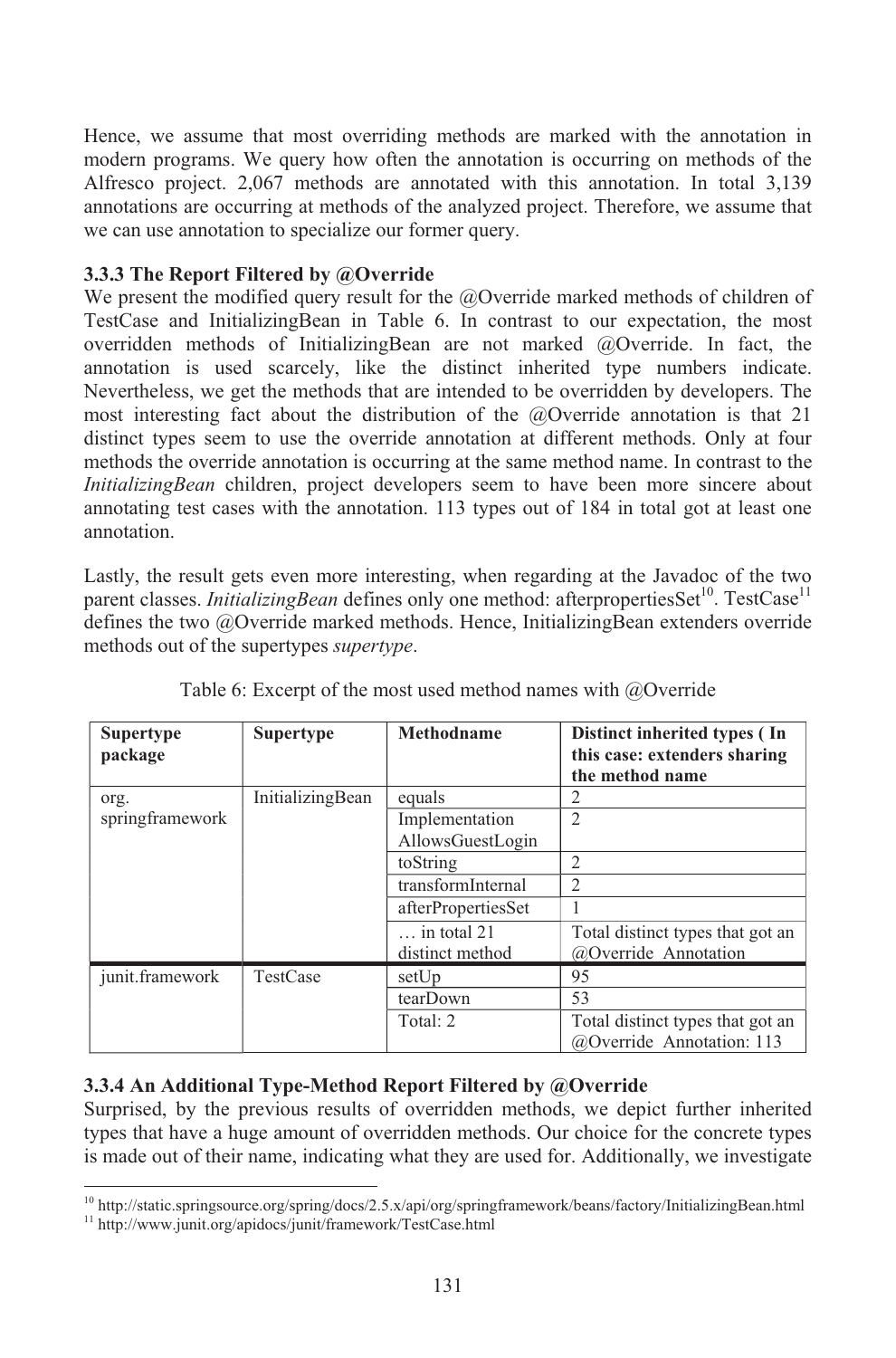Hence, we assume that most overriding methods are marked with the annotation in modern programs. We query how often the annotation is occurring on methods of the Alfresco project. 2,067 methods are annotated with this annotation. In total 3,139 annotations are occurring at methods of the analyzed project. Therefore, we assume that we can use annotation to specialize our former query.

#### **3.3.3 The Report Filtered by @Override**

We present the modified query result for the @Override marked methods of children of TestCase and InitializingBean in Table 6. In contrast to our expectation, the most overridden methods of InitializingBean are not marked @Override. In fact, the annotation is used scarcely, like the distinct inherited type numbers indicate. Nevertheless, we get the methods that are intended to be overridden by developers. The most interesting fact about the distribution of the  $@$ Override annotation is that 21 distinct types seem to use the override annotation at different methods. Only at four methods the override annotation is occurring at the same method name. In contrast to the *InitializingBean* children, project developers seem to have been more sincere about annotating test cases with the annotation. 113 types out of 184 in total got at least one annotation.

Lastly, the result gets even more interesting, when regarding at the Javadoc of the two parent classes. *InitializingBean* defines only one method: afterpropertiesSet<sup>10</sup>. TestCase<sup>11</sup> defines the two @Override marked methods. Hence, InitializingBean extenders override methods out of the supertypes *supertype*.

| <b>Supertype</b><br>package | <b>Supertype</b> | Methodname           | Distinct inherited types (In<br>this case: extenders sharing<br>the method name |
|-----------------------------|------------------|----------------------|---------------------------------------------------------------------------------|
| org.                        | InitializingBean | equals               | 2                                                                               |
| springframework             |                  | Implementation       | $\overline{2}$                                                                  |
|                             |                  | AllowsGuestLogin     |                                                                                 |
|                             |                  | toString             | $\overline{2}$                                                                  |
|                             |                  | transformInternal    | $\overline{2}$                                                                  |
|                             |                  | afterPropertiesSet   |                                                                                 |
|                             |                  | $\ldots$ in total 21 | Total distinct types that got an                                                |
|                             |                  | distinct method      | @Override Annotation                                                            |
| junit.framework             | TestCase         | setUp                | 95                                                                              |
|                             |                  | tearDown             | 53                                                                              |
|                             |                  | Total: 2             | Total distinct types that got an<br>@Override Annotation: 113                   |

Table 6: Excerpt of the most used method names with @Override

#### **3.3.4 An Additional Type-Method Report Filtered by @Override**

Surprised, by the previous results of overridden methods, we depict further inherited types that have a huge amount of overridden methods. Our choice for the concrete types is made out of their name, indicating what they are used for. Additionally, we investigate

 $10$  http://static.springsource.org/spring/docs/2.5.x/api/org/springframework/beans/factory/InitializingBean.html

<sup>11</sup> http://www.junit.org/apidocs/junit/framework/TestCase.html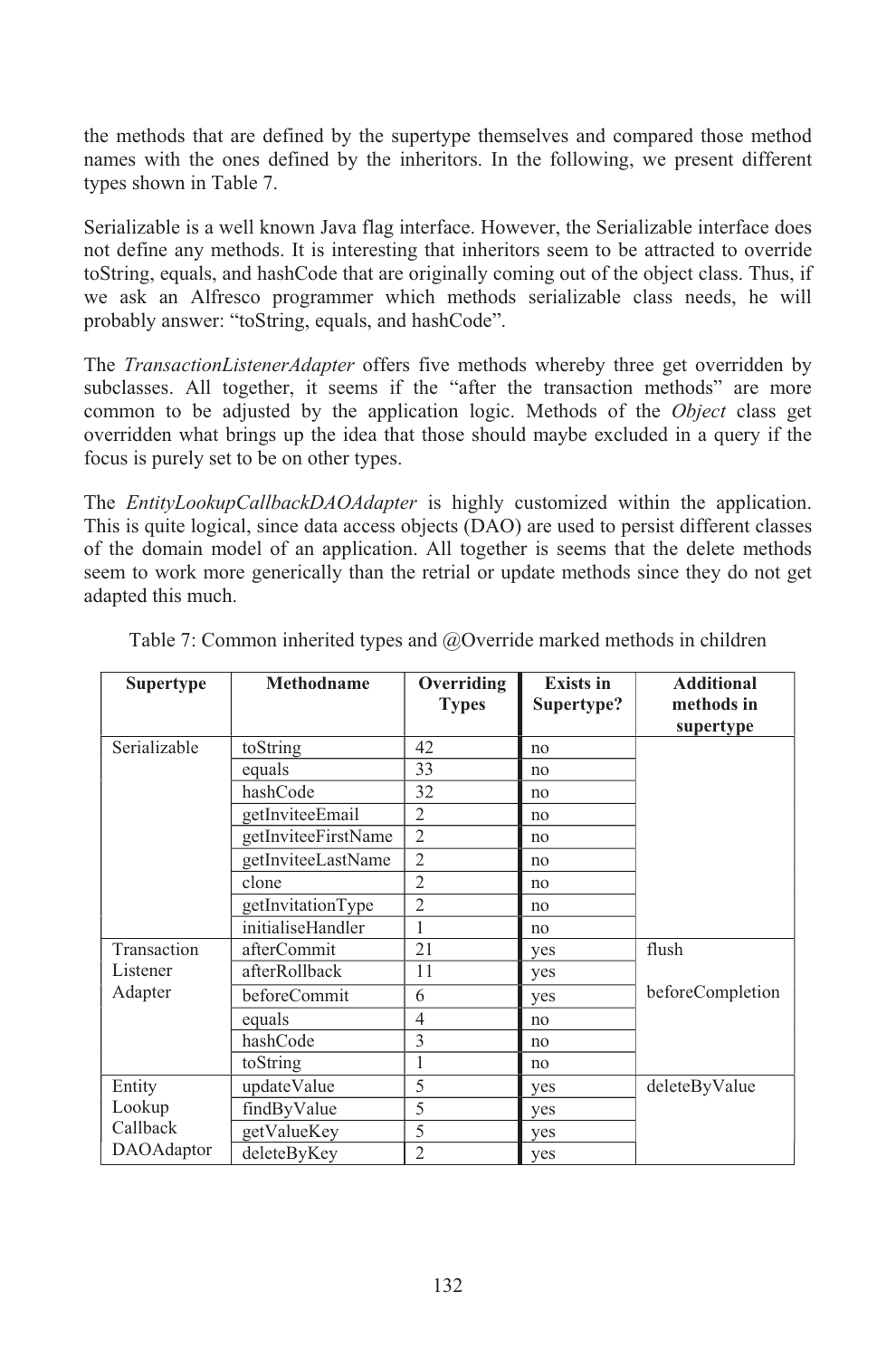the methods that are defined by the supertype themselves and compared those method names with the ones defined by the inheritors. In the following, we present different types shown in Table 7.

Serializable is a well known Java flag interface. However, the Serializable interface does not define any methods. It is interesting that inheritors seem to be attracted to override toString, equals, and hashCode that are originally coming out of the object class. Thus, if we ask an Alfresco programmer which methods serializable class needs, he will probably answer: "toString, equals, and hashCode".

The *TransactionListenerAdapter* offers five methods whereby three get overridden by subclasses. All together, it seems if the "after the transaction methods" are more common to be adjusted by the application logic. Methods of the *Object* class get overridden what brings up the idea that those should maybe excluded in a query if the focus is purely set to be on other types.

The *EntityLookupCallbackDAOAdapter* is highly customized within the application. This is quite logical, since data access objects (DAO) are used to persist different classes of the domain model of an application. All together is seems that the delete methods seem to work more generically than the retrial or update methods since they do not get adapted this much.

| <b>Supertype</b> | Methodname          | Overriding     | <b>Exists in</b> | <b>Additional</b> |
|------------------|---------------------|----------------|------------------|-------------------|
|                  |                     | <b>Types</b>   | Supertype?       | methods in        |
|                  |                     |                |                  | supertype         |
| Serializable     | toString            | 42             | no               |                   |
|                  | equals              | 33             | no               |                   |
|                  | hashCode            | 32             | no               |                   |
|                  | getInviteeEmail     | $\overline{2}$ | no               |                   |
|                  | getInviteeFirstName | $\overline{2}$ | no               |                   |
|                  | getInviteeLastName  | $\overline{c}$ | no               |                   |
|                  | clone               | $\overline{2}$ | no               |                   |
|                  | getInvitationType   | $\overline{2}$ | no               |                   |
|                  | initialiseHandler   | 1              | no               |                   |
| Transaction      | afterCommit         | 21             | yes              | flush             |
| Listener         | afterRollback       | 11             | yes              |                   |
| Adapter          | beforeCommit        | 6              | yes              | beforeCompletion  |
|                  | equals              | $\overline{4}$ | no               |                   |
|                  | hashCode            | 3              | no               |                   |
|                  | toString            | 1              | no               |                   |
| Entity           | updateValue         | 5              | yes              | deleteByValue     |
| Lookup           | findByValue         | 5              | yes              |                   |
| Callback         | getValueKey         | 5              | yes              |                   |
| DAOAdaptor       | deleteByKey         | $\overline{2}$ | yes              |                   |

Table 7: Common inherited types and @Override marked methods in children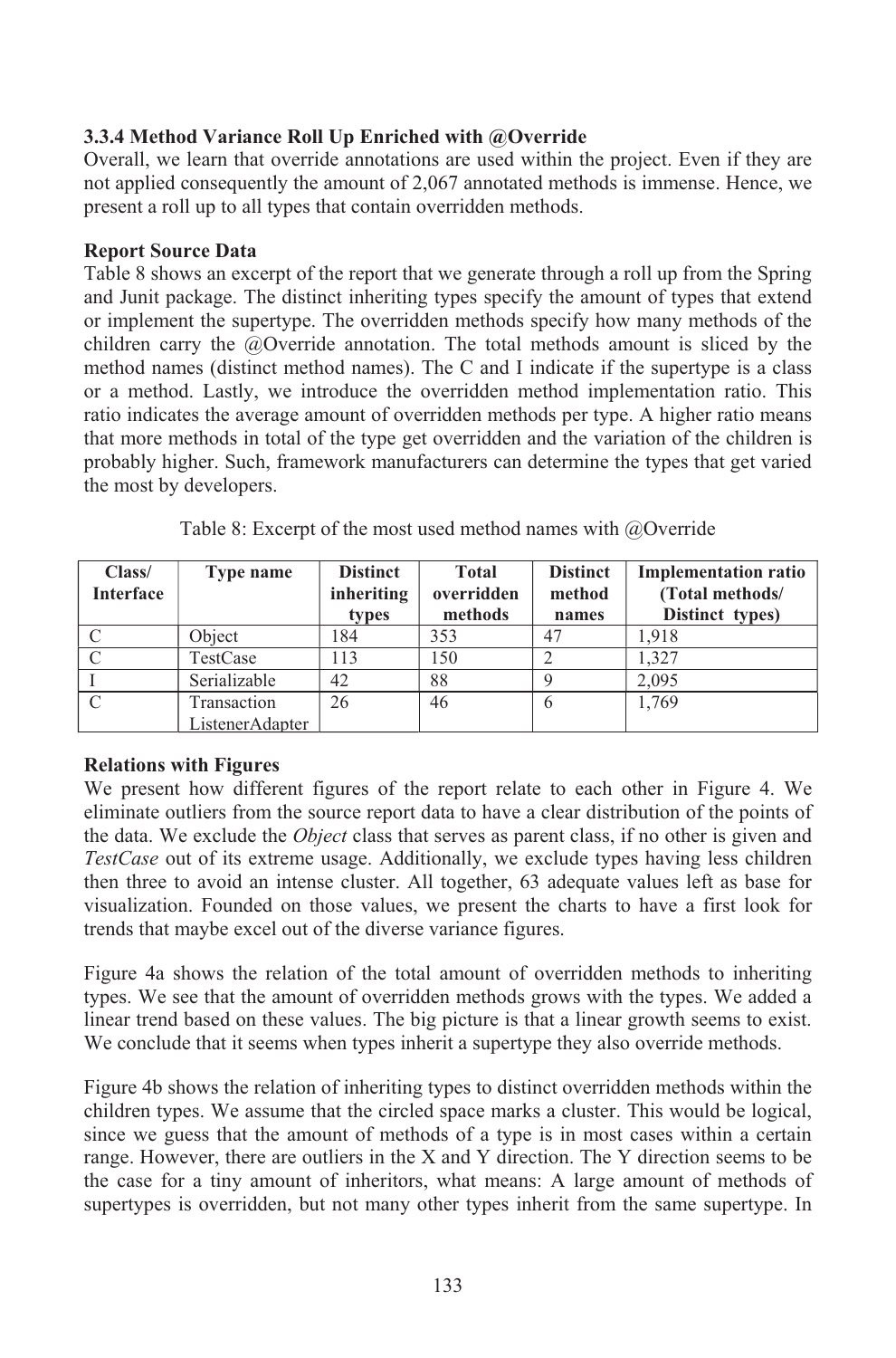#### **3.3.4 Method Variance Roll Up Enriched with @Override**

Overall, we learn that override annotations are used within the project. Even if they are not applied consequently the amount of 2,067 annotated methods is immense. Hence, we present a roll up to all types that contain overridden methods.

#### **Report Source Data**

Table 8 shows an excerpt of the report that we generate through a roll up from the Spring and Junit package. The distinct inheriting types specify the amount of types that extend or implement the supertype. The overridden methods specify how many methods of the children carry the @Override annotation. The total methods amount is sliced by the method names (distinct method names). The C and I indicate if the supertype is a class or a method. Lastly, we introduce the overridden method implementation ratio. This ratio indicates the average amount of overridden methods per type. A higher ratio means that more methods in total of the type get overridden and the variation of the children is probably higher. Such, framework manufacturers can determine the types that get varied the most by developers.

| Class/<br><b>Interface</b> | Type name       | <b>Distinct</b><br>inheriting<br>types | <b>Total</b><br>overridden<br>methods | <b>Distinct</b><br>method<br>names | <b>Implementation ratio</b><br>(Total methods/<br>Distinct types) |
|----------------------------|-----------------|----------------------------------------|---------------------------------------|------------------------------------|-------------------------------------------------------------------|
|                            | Object          | 184                                    | 353                                   | 47                                 | 1.918                                                             |
|                            | TestCase        | 113                                    | 150                                   |                                    | 1.327                                                             |
|                            | Serializable    | 42                                     | 88                                    |                                    | 2,095                                                             |
|                            | Transaction     | 26                                     | 46                                    | 6                                  | 1.769                                                             |
|                            | ListenerAdapter |                                        |                                       |                                    |                                                                   |

Table 8: Excerpt of the most used method names with @Override

#### **Relations with Figures**

We present how different figures of the report relate to each other in Figure 4. We eliminate outliers from the source report data to have a clear distribution of the points of the data. We exclude the *Object* class that serves as parent class, if no other is given and *TestCase* out of its extreme usage. Additionally, we exclude types having less children then three to avoid an intense cluster. All together, 63 adequate values left as base for visualization. Founded on those values, we present the charts to have a first look for trends that maybe excel out of the diverse variance figures.

Figure 4a shows the relation of the total amount of overridden methods to inheriting types. We see that the amount of overridden methods grows with the types. We added a linear trend based on these values. The big picture is that a linear growth seems to exist. We conclude that it seems when types inherit a supertype they also override methods.

Figure 4b shows the relation of inheriting types to distinct overridden methods within the children types. We assume that the circled space marks a cluster. This would be logical, since we guess that the amount of methods of a type is in most cases within a certain range. However, there are outliers in the X and Y direction. The Y direction seems to be the case for a tiny amount of inheritors, what means: A large amount of methods of supertypes is overridden, but not many other types inherit from the same supertype. In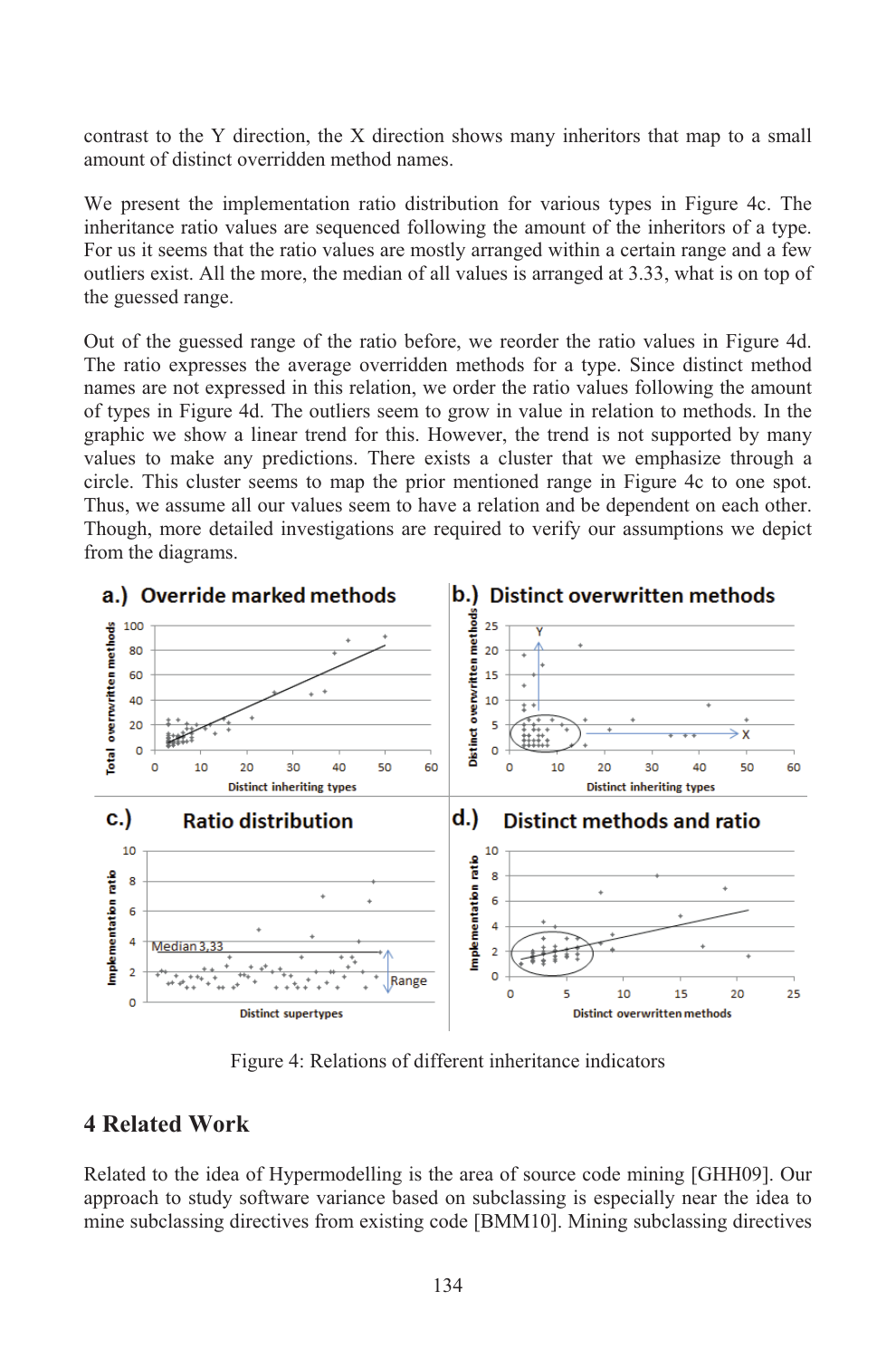contrast to the Y direction, the X direction shows many inheritors that map to a small amount of distinct overridden method names.

We present the implementation ratio distribution for various types in Figure 4c. The inheritance ratio values are sequenced following the amount of the inheritors of a type. For us it seems that the ratio values are mostly arranged within a certain range and a few outliers exist. All the more, the median of all values is arranged at 3.33, what is on top of the guessed range.

Out of the guessed range of the ratio before, we reorder the ratio values in Figure 4d. The ratio expresses the average overridden methods for a type. Since distinct method names are not expressed in this relation, we order the ratio values following the amount of types in Figure 4d. The outliers seem to grow in value in relation to methods. In the graphic we show a linear trend for this. However, the trend is not supported by many values to make any predictions. There exists a cluster that we emphasize through a circle. This cluster seems to map the prior mentioned range in Figure 4c to one spot. Thus, we assume all our values seem to have a relation and be dependent on each other. Though, more detailed investigations are required to verify our assumptions we depict from the diagrams.



Figure 4: Relations of different inheritance indicators

## **4 Related Work**

Related to the idea of Hypermodelling is the area of source code mining [GHH09]. Our approach to study software variance based on subclassing is especially near the idea to mine subclassing directives from existing code [BMM10]. Mining subclassing directives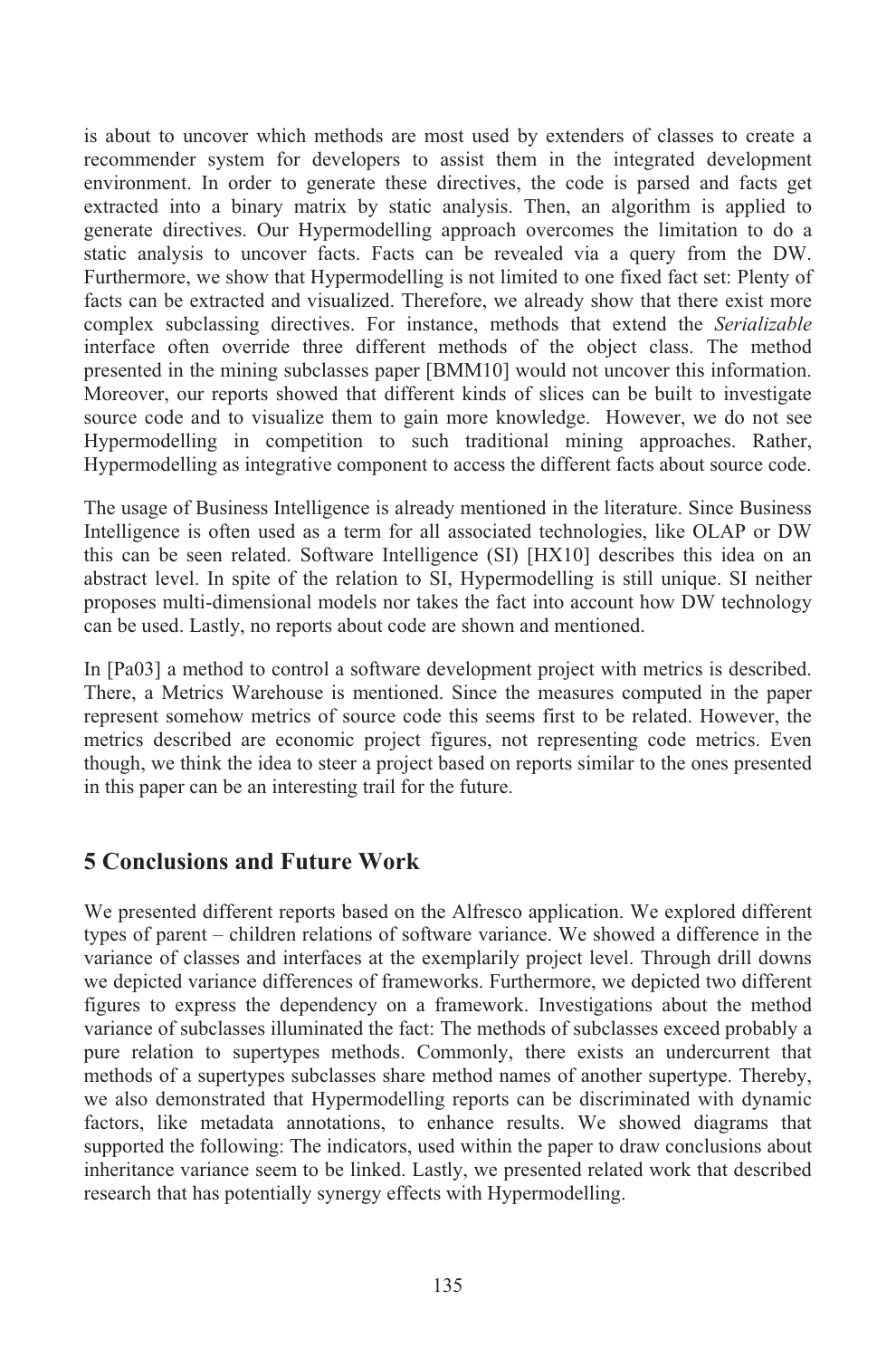is about to uncover which methods are most used by extenders of classes to create a recommender system for developers to assist them in the integrated development environment. In order to generate these directives, the code is parsed and facts get extracted into a binary matrix by static analysis. Then, an algorithm is applied to generate directives. Our Hypermodelling approach overcomes the limitation to do a static analysis to uncover facts. Facts can be revealed via a query from the DW. Furthermore, we show that Hypermodelling is not limited to one fixed fact set: Plenty of facts can be extracted and visualized. Therefore, we already show that there exist more complex subclassing directives. For instance, methods that extend the *Serializable* interface often override three different methods of the object class. The method presented in the mining subclasses paper [BMM10] would not uncover this information. Moreover, our reports showed that different kinds of slices can be built to investigate source code and to visualize them to gain more knowledge. However, we do not see Hypermodelling in competition to such traditional mining approaches. Rather, Hypermodelling as integrative component to access the different facts about source code.

The usage of Business Intelligence is already mentioned in the literature. Since Business Intelligence is often used as a term for all associated technologies, like OLAP or DW this can be seen related. Software Intelligence (SI) [HX10] describes this idea on an abstract level. In spite of the relation to SI, Hypermodelling is still unique. SI neither proposes multi-dimensional models nor takes the fact into account how DW technology can be used. Lastly, no reports about code are shown and mentioned.

In [Pa03] a method to control a software development project with metrics is described. There, a Metrics Warehouse is mentioned. Since the measures computed in the paper represent somehow metrics of source code this seems first to be related. However, the metrics described are economic project figures, not representing code metrics. Even though, we think the idea to steer a project based on reports similar to the ones presented in this paper can be an interesting trail for the future.

## **5 Conclusions and Future Work**

We presented different reports based on the Alfresco application. We explored different types of parent – children relations of software variance. We showed a difference in the variance of classes and interfaces at the exemplarily project level. Through drill downs we depicted variance differences of frameworks. Furthermore, we depicted two different figures to express the dependency on a framework. Investigations about the method variance of subclasses illuminated the fact: The methods of subclasses exceed probably a pure relation to supertypes methods. Commonly, there exists an undercurrent that methods of a supertypes subclasses share method names of another supertype. Thereby, we also demonstrated that Hypermodelling reports can be discriminated with dynamic factors, like metadata annotations, to enhance results. We showed diagrams that supported the following: The indicators, used within the paper to draw conclusions about inheritance variance seem to be linked. Lastly, we presented related work that described research that has potentially synergy effects with Hypermodelling.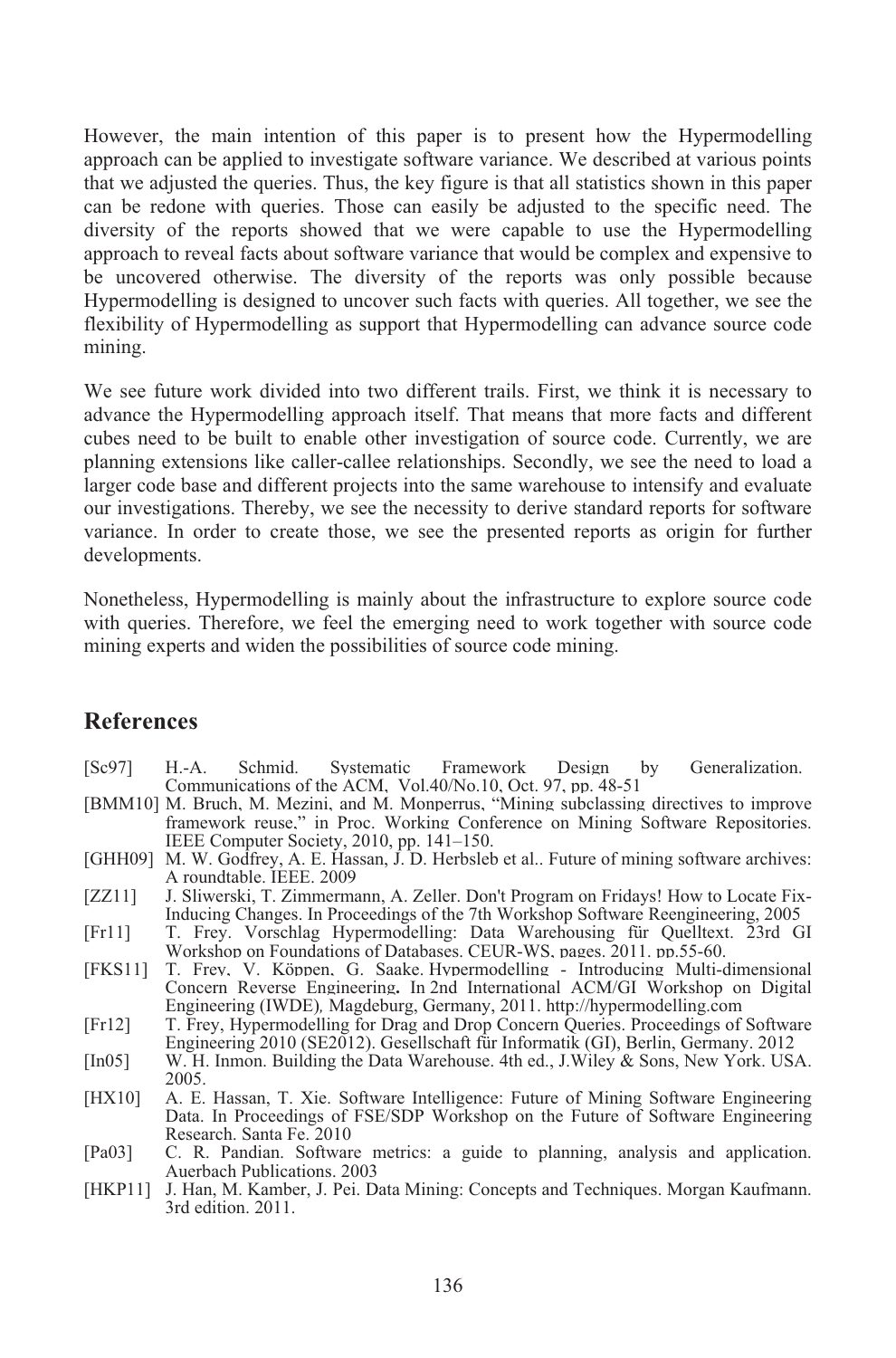However, the main intention of this paper is to present how the Hypermodelling approach can be applied to investigate software variance. We described at various points that we adjusted the queries. Thus, the key figure is that all statistics shown in this paper can be redone with queries. Those can easily be adjusted to the specific need. The diversity of the reports showed that we were capable to use the Hypermodelling approach to reveal facts about software variance that would be complex and expensive to be uncovered otherwise. The diversity of the reports was only possible because Hypermodelling is designed to uncover such facts with queries. All together, we see the flexibility of Hypermodelling as support that Hypermodelling can advance source code mining.

We see future work divided into two different trails. First, we think it is necessary to advance the Hypermodelling approach itself. That means that more facts and different cubes need to be built to enable other investigation of source code. Currently, we are planning extensions like caller-callee relationships. Secondly, we see the need to load a larger code base and different projects into the same warehouse to intensify and evaluate our investigations. Thereby, we see the necessity to derive standard reports for software variance. In order to create those, we see the presented reports as origin for further developments.

Nonetheless, Hypermodelling is mainly about the infrastructure to explore source code with queries. Therefore, we feel the emerging need to work together with source code mining experts and widen the possibilities of source code mining.

#### **References**

- [Sc97] H.-A. Schmid. Systematic Framework Design by Generalization. Communications of the ACM, Vol.40/No.10, Oct. 97, pp. 48-51
- [BMM10] M. Bruch, M. Mezini, and M. Monperrus, "Mining subclassing directives to improve framework reuse," in Proc. Working Conference on Mining Software Repositories. IEEE Computer Society, 2010, pp. 141–150.
- [GHH09] M. W. Godfrey, A. E. Hassan, J. D. Herbsleb et al.. Future of mining software archives: A roundtable. IEEE. 2009
- [ZZ11] J. Sliwerski, T. Zimmermann, A. Zeller. Don't Program on Fridays! How to Locate Fix-Inducing Changes. In Proceedings of the 7th Workshop Software Reengineering, 2005
- [Fr11] T. Frey. Vorschlag Hypermodelling: Data Warehousing für Quelltext. 23rd GI Workshop on Foundations of Databases. CEUR-WS, pages. 2011. pp.55-60.
- [FKS11] T. Frey, V. Köppen, G. Saake. Hypermodelling Introducing Multi-dimensional Concern Reverse Engineering**.** In 2nd International ACM/GI Workshop on Digital Engineering (IWDE)*,* Magdeburg, Germany, 2011. http://hypermodelling.com
- [Fr12] T. Frey, Hypermodelling for Drag and Drop Concern Queries. Proceedings of Software Engineering 2010 (SE2012). Gesellschaft für Informatik (GI), Berlin, Germany. 2012
- [In05] W. H. Inmon. Building the Data Warehouse. 4th ed., J.Wiley & Sons, New York. USA. 2005.
- [HX10] A. E. Hassan, T. Xie. Software Intelligence: Future of Mining Software Engineering Data. In Proceedings of FSE/SDP Workshop on the Future of Software Engineering Research. Santa Fe. 2010
- [Pa03] C. R. Pandian. Software metrics: a guide to planning, analysis and application. Auerbach Publications. 2003
- [HKP11] J. Han, M. Kamber, J. Pei. Data Mining: Concepts and Techniques. Morgan Kaufmann. 3rd edition. 2011.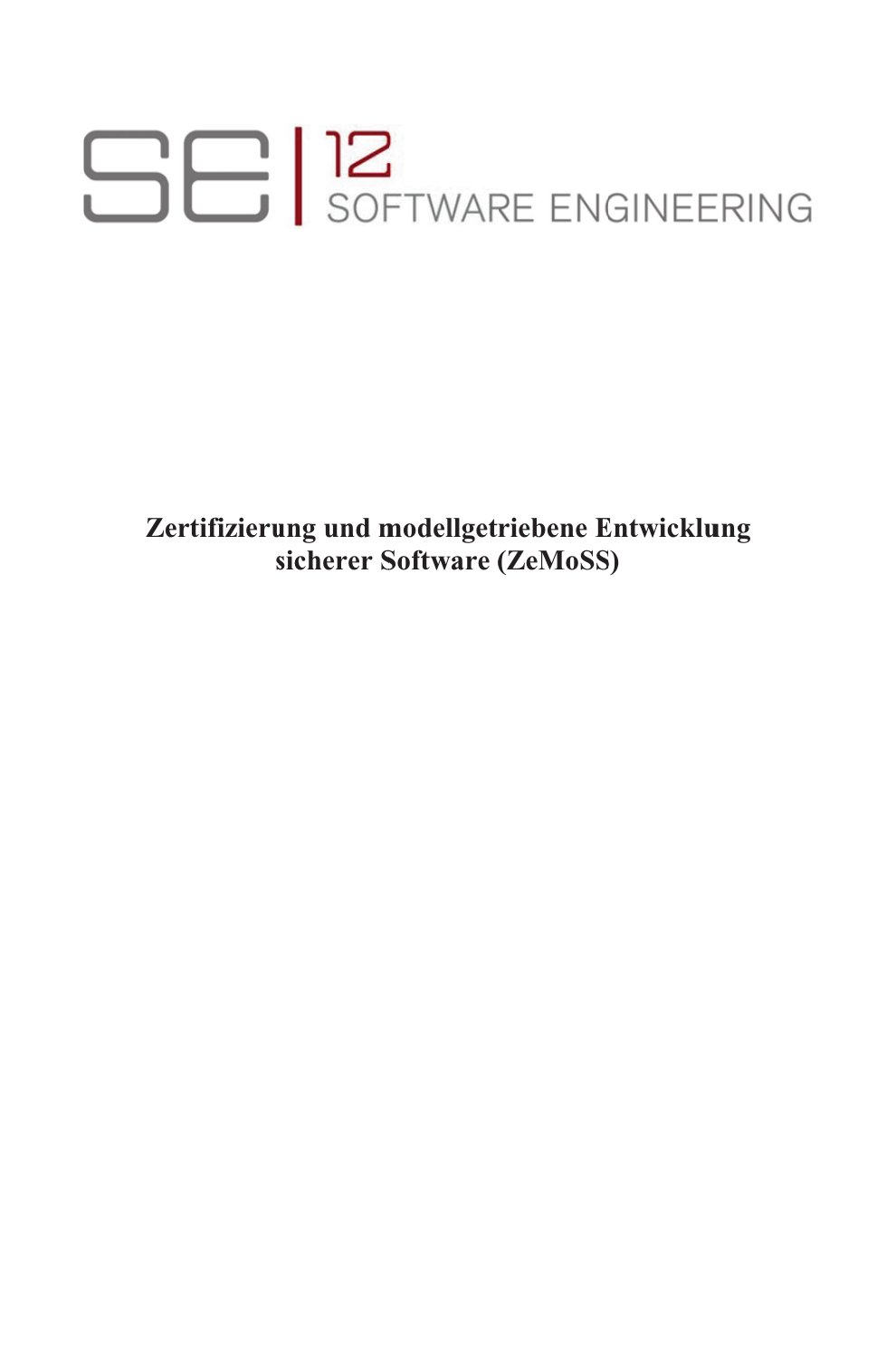# **SEI**SOFTWARE ENGINEERING

**Zertifizieru ng und m modellget riebene E ntwicklu ngs icherer S Software ( ZeMoSS S)**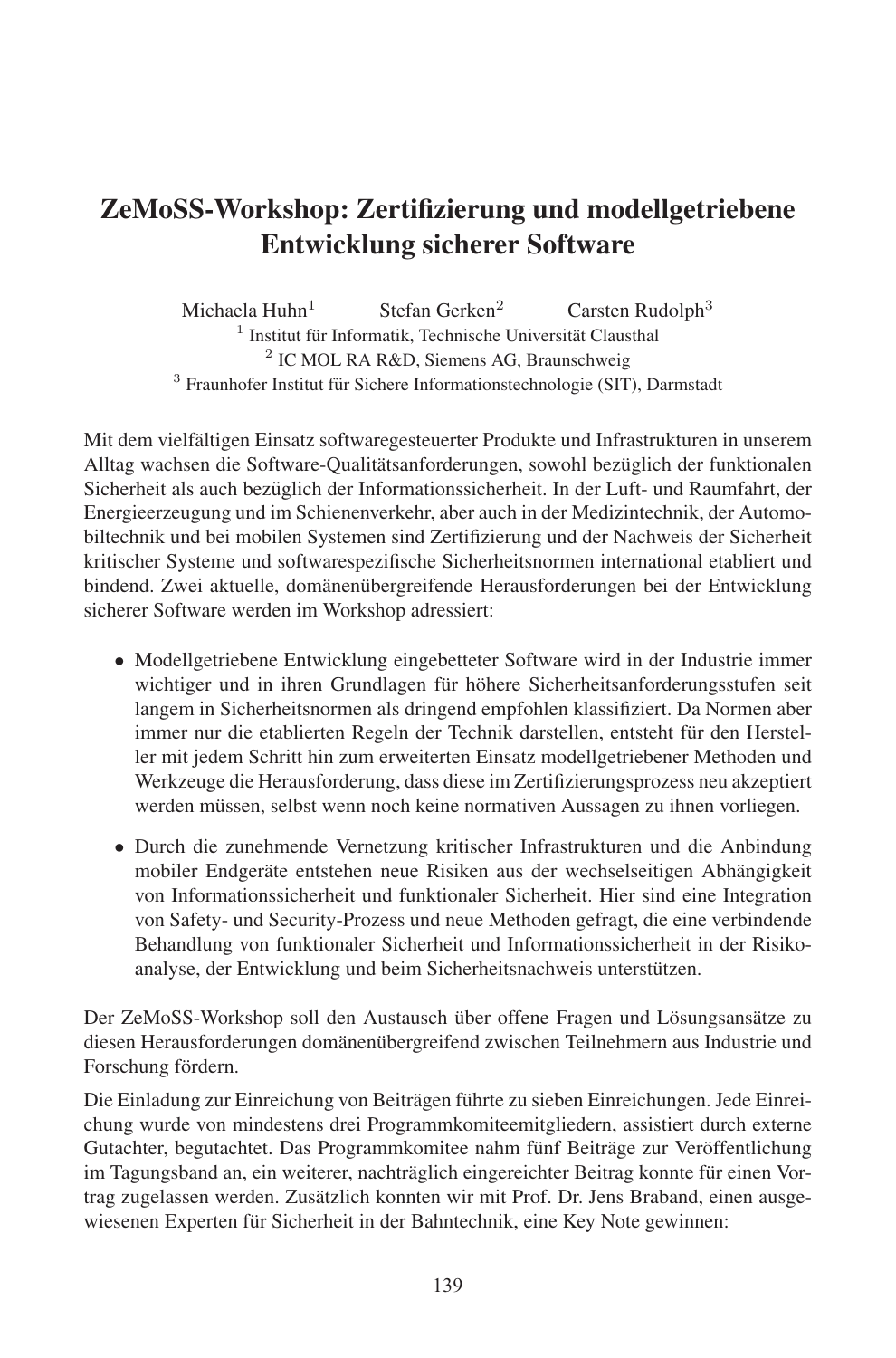# ZeMoSS-Workshop: Zertifizierung und modellgetriebene Entwicklung sicherer Software

Michaela Huhn<sup>1</sup> Stefan Gerken<sup>2</sup> Carsten Rudolph<sup>3</sup> <sup>1</sup> Institut für Informatik, Technische Universität Clausthal 2 IC MOL RA R&D, Siemens AG, Braunschweig <sup>3</sup> Fraunhofer Institut für Sichere Informationstechnologie (SIT), Darmstadt

.<br>Mit dem vielfältigen Einsatz softwaregesteuerter Produkte und Infrastrukturen in unserem Alltag wachsen die Software-Qualitätsanforderungen, sowohl bezüglich der funktionalen Sicherheit als auch bezüglich der Informationssicherheit. In der Luft- und Raumfahrt, der Lüft-Energieerzeugung und im Schienenverkehr, aber auch in der Medizintechnik, der Automobiltechnik und bei mobilen Systemen sind Zertifizierung und der Nachweis der Sicherheit kritischer Systeme und softwarespezifische Sicherheitsnormen international etabliert und bindend. Zwei aktuelle, domänenübergreifende Herausforderungen bei der Entwicklung sicherer Software werden im Workshop adressiert:

- Modellgetriebene Entwicklung eingebetteter Software wird in der Industrie immer wichtiger und in ihren Grundlagen für höhere Sicherheitsanforderungsstufen seit langem in Sicherheitsnormen als dringend empfohlen klassifiziert. Da Normen aber immer nur die etablierten Regeln der Technik darstellen, entsteht für den Hersteller mit jedem Schritt hin zum erweiterten Einsatz modellgetriebener Methoden und Werkzeuge die Herausforderung, dass diese im Zertifizierungsprozess neu akzeptiert werden müssen, selbst wenn noch keine normativen Aussagen zu ihnen vorliegen.
- Durch die zunehmende Vernetzung kritischer Infrastrukturen und die Anbindung mobiler Endgeräte entstehen neue Risiken aus der wechselseitigen Abhängigkeit von Informationssicherheit und funktionaler Sicherheit. Hier sind eine Integration von Safety- und Security-Prozess und neue Methoden gefragt, die eine verbindende Behandlung von funktionaler Sicherheit und Informationssicherheit in der Risikoanalyse, der Entwicklung und beim Sicherheitsnachweis unterstutzen. ¨

Der ZeMoSS-Workshop soll den Austausch über offene Fragen und Lösungsansätze zu diesen Herausforderungen domanen ¨ uber ¨ greifend zwischen Teilnehmern aus Industrie und aresen rieraasiorae<br>Forschung fördern.

Die Einladung zur Einreichung von Beiträgen führte zu sieben Einreichungen. Jede Einreichung wurde von mindestens drei Programmkomiteemitgliedern, assistiert durch externe Gutachter, begutachtet. Das Programmkomitee nahm fünf Beiträge zur Veröffentlichung im Tagungsband an, ein weiterer, nachträglich eingereichter Beitrag konnte für einen Vor-<br>im Tagungsband an, ein weiterer, nachträglich eingereichter Beitrag konnte für einen Vortrag zugelassen werden. Zusätzlich konnten wir mit Prof. Dr. Jens Braband, einen ausgewiesenen Experten für Sicherheit in der Bahntechnik, eine Key Note gewinnen:<br>wiesenen Experten für Sicherheit in der Bahntechnik, eine Key Note gewinnen: